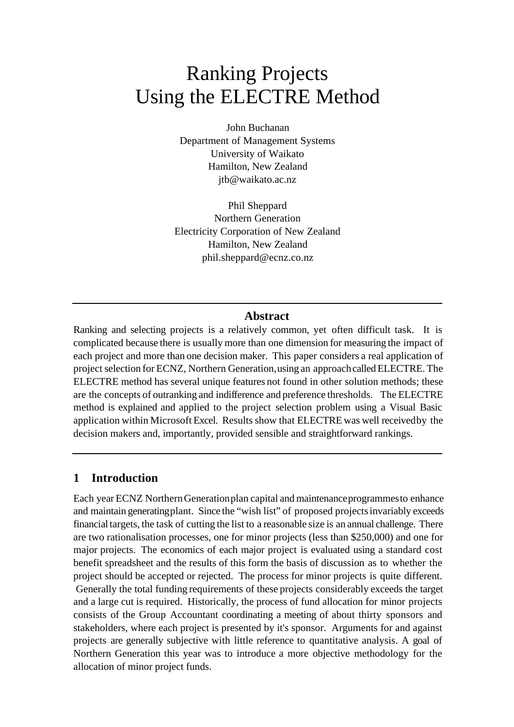# Ranking Projects Using the ELECTRE Method

John Buchanan Department of Management Systems University of Waikato Hamilton, New Zealand jtb@waikato.ac.nz

Phil Sheppard Northern Generation Electricity Corporation of New Zealand Hamilton, New Zealand phil.sheppard@ecnz.co.nz

## **Abstract**

Ranking and selecting projects is a relatively common, yet often difficult task. It is complicated because there is usually more than one dimension for measuring the impact of each project and more than one decision maker. This paper considers a real application of project selection for ECNZ, Northern Generation, using an approach called ELECTRE. The ELECTRE method has several unique features not found in other solution methods; these are the concepts of outranking and indifference and preference thresholds. The ELECTRE method is explained and applied to the project selection problem using a Visual Basic application within Microsoft Excel. Results show that ELECTRE was well received by the decision makers and, importantly, provided sensible and straightforward rankings.

## **1 Introduction**

Each year ECNZ Northern Generation plan capital and maintenance programmes to enhance and maintain generating plant. Since the "wish list" of proposed projects invariably exceeds financial targets, the task of cutting the list to a reasonable size is an annual challenge. There are two rationalisation processes, one for minor projects (less than \$250,000) and one for major projects. The economics of each major project is evaluated using a standard cost benefit spreadsheet and the results of this form the basis of discussion as to whether the project should be accepted or rejected. The process for minor projects is quite different. Generally the total funding requirements of these projects considerably exceeds the target and a large cut is required. Historically, the process of fund allocation for minor projects consists of the Group Accountant coordinating a meeting of about thirty sponsors and stakeholders, where each project is presented by it's sponsor. Arguments for and against projects are generally subjective with little reference to quantitative analysis. A goal of Northern Generation this year was to introduce a more objective methodology for the allocation of minor project funds.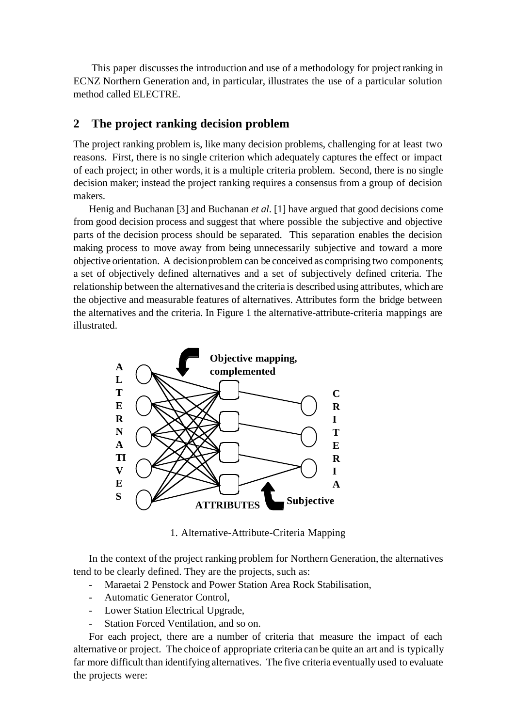This paper discusses the introduction and use of a methodology for project ranking in ECNZ Northern Generation and, in particular, illustrates the use of a particular solution method called ELECTRE.

# **2 The project ranking decision problem**

The project ranking problem is, like many decision problems, challenging for at least two reasons. First, there is no single criterion which adequately captures the effect or impact of each project; in other words, it is a multiple criteria problem. Second, there is no single decision maker; instead the project ranking requires a consensus from a group of decision makers.

Henig and Buchanan [3] and Buchanan *et al*. [1] have argued that good decisions come from good decision process and suggest that where possible the subjective and objective parts of the decision process should be separated. This separation enables the decision making process to move away from being unnecessarily subjective and toward a more objective orientation. A decision problem can be conceived as comprising two components; a set of objectively defined alternatives and a set of subjectively defined criteria. The relationship between the alternatives and the criteria is described using attributes, which are the objective and measurable features of alternatives. Attributes form the bridge between the alternatives and the criteria. In Figure 1 the alternative-attribute-criteria mappings are illustrated.



1. Alternative-Attribute-Criteria Mapping

In the context of the project ranking problem for Northern Generation, the alternatives tend to be clearly defined. They are the projects, such as:

- Maraetai 2 Penstock and Power Station Area Rock Stabilisation,
- Automatic Generator Control,
- Lower Station Electrical Upgrade,
- Station Forced Ventilation, and so on.

For each project, there are a number of criteria that measure the impact of each alternative or project. The choice of appropriate criteria can be quite an art and is typically far more difficult than identifying alternatives. The five criteria eventually used to evaluate the projects were: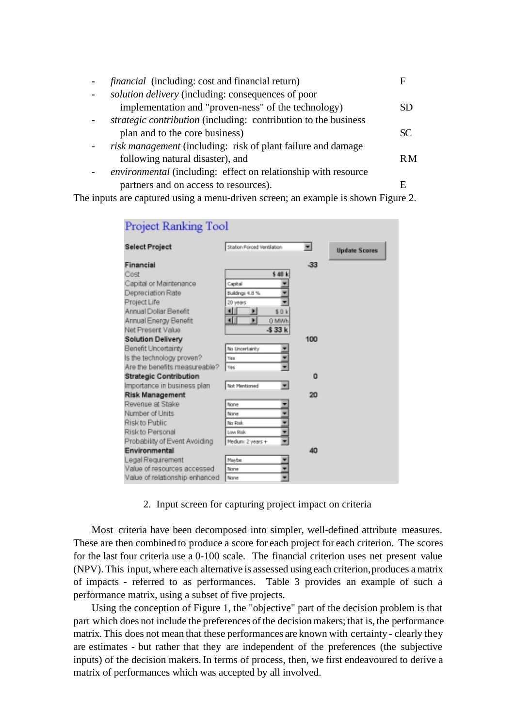| <i>financial</i> (including: cost and financial return)                |     |
|------------------------------------------------------------------------|-----|
| solution delivery (including: consequences of poor                     |     |
| implementation and "proven-ness" of the technology)                    | SD  |
| <i>strategic contribution</i> (including: contribution to the business |     |
| plan and to the core business)                                         | SC. |
| risk management (including: risk of plant failure and damage           |     |
| following natural disaster), and                                       | R M |
| <i>environmental</i> (including: effect on relationship with resource  |     |
| partners and on access to resources).                                  |     |
|                                                                        |     |

The inputs are captured using a menu-driven screen; an example is shown Figure 2.

| Project Ranking Tool           |                            |                          |                      |  |  |  |
|--------------------------------|----------------------------|--------------------------|----------------------|--|--|--|
| <b>Select Project</b>          | Station Forced Ventilation | $\overline{\phantom{a}}$ | <b>Update Scores</b> |  |  |  |
| Financial                      |                            | -33                      |                      |  |  |  |
| Cost                           | \$ 40 k                    |                          |                      |  |  |  |
| Capital or Maintenance         | Capital                    |                          |                      |  |  |  |
| Depreciation Rate              | Buildings 4.8 %            |                          |                      |  |  |  |
| Project Life                   | 20 years                   |                          |                      |  |  |  |
| Annual Dollar Benefit          | \$0k                       |                          |                      |  |  |  |
| Annual Energy Benefit          | ⊣∥<br>н<br>0 MWh           |                          |                      |  |  |  |
| Net Present Value              | $-533k$                    |                          |                      |  |  |  |
| <b>Solution Delivery</b>       |                            | 100                      |                      |  |  |  |
| Benefit Uncertainty            | No Lincertainty            |                          |                      |  |  |  |
| Is the technology proven?      | Yes                        |                          |                      |  |  |  |
| Are the benefits measureable?  | Yes                        |                          |                      |  |  |  |
| <b>Strategic Contribution</b>  |                            | 0                        |                      |  |  |  |
| Importance in business plan    | Not Mentioned              |                          |                      |  |  |  |
| <b>Risk Management</b>         |                            | 20                       |                      |  |  |  |
| Revenue at Stake               | None                       |                          |                      |  |  |  |
| Number of Units                | None                       |                          |                      |  |  |  |
| Risk to Public                 | No Rink                    |                          |                      |  |  |  |
| Risk to Personal               | Low Risk                   |                          |                      |  |  |  |
| Probability of Event Avoiding  | Medium: 2 years +          |                          |                      |  |  |  |
| Environmental                  |                            | 40                       |                      |  |  |  |
| Legal Requirement              | Maybe                      |                          |                      |  |  |  |
| Value of resources accessed    | None                       |                          |                      |  |  |  |
| Value of relationship enhanced | None                       |                          |                      |  |  |  |

2. Input screen for capturing project impact on criteria

Most criteria have been decomposed into simpler, well-defined attribute measures. These are then combined to produce a score for each project for each criterion. The scores for the last four criteria use a 0-100 scale. The financial criterion uses net present value (NPV). This input, where each alternative is assessed using each criterion, produces a matrix of impacts - referred to as performances. Table 3 provides an example of such a performance matrix, using a subset of five projects.

Using the conception of Figure 1, the "objective" part of the decision problem is that part which does not include the preferences of the decision makers; that is, the performance matrix. This does not mean that these performances are known with certainty - clearly they are estimates - but rather that they are independent of the preferences (the subjective inputs) of the decision makers. In terms of process, then, we first endeavoured to derive a matrix of performances which was accepted by all involved.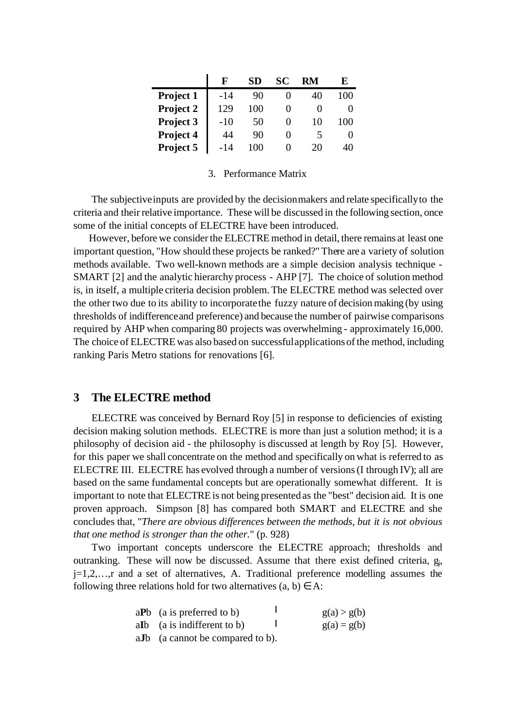|           | F     | <b>SD</b> | SС | RM | E   |
|-----------|-------|-----------|----|----|-----|
| Project 1 | $-14$ | 90        |    | 40 | 100 |
| Project 2 | 129   | 100       |    |    | 0   |
| Project 3 | -10   | 50        |    | 10 | 10  |
| Project 4 | 44    | 90        |    |    | 0   |
| Project 5 | -14   |           |    | 20 | 40  |

#### 3. Performance Matrix

The subjective inputs are provided by the decision makers and relate specifically to the criteria and their relative importance. These will be discussed in the following section, once some of the initial concepts of ELECTRE have been introduced.

However, before we consider the ELECTRE method in detail, there remains at least one important question, "How should these projects be ranked?" There are a variety of solution methods available. Two well-known methods are a simple decision analysis technique - SMART [2] and the analytic hierarchy process - AHP [7]. The choice of solution method is, in itself, a multiple criteria decision problem. The ELECTRE method was selected over the other two due to its ability to incorporate the fuzzy nature of decision making (by using thresholds of indifference and preference) and because the number of pairwise comparisons required by AHP when comparing 80 projects was overwhelming - approximately 16,000. The choice of ELECTRE was also based on successful applications of the method, including ranking Paris Metro stations for renovations [6].

### **3 The ELECTRE method**

ELECTRE was conceived by Bernard Roy [5] in response to deficiencies of existing decision making solution methods. ELECTRE is more than just a solution method; it is a philosophy of decision aid - the philosophy is discussed at length by Roy [5]. However, for this paper we shall concentrate on the method and specifically on what is referred to as ELECTRE III. ELECTRE has evolved through a number of versions (I through IV); all are based on the same fundamental concepts but are operationally somewhat different. It is important to note that ELECTRE is not being presented as the "best" decision aid. It is one proven approach. Simpson [8] has compared both SMART and ELECTRE and she concludes that, "*There are obvious differences between the methods, but it is not obvious that one method is stronger than the other.*" (p. 928)

Two important concepts underscore the ELECTRE approach; thresholds and outranking. These will now be discussed. Assume that there exist defined criteria, g<sub>j</sub>, j=1,2,…,r and a set of alternatives, A. Traditional preference modelling assumes the following three relations hold for two alternatives  $(a, b) \in A$ :

| $aPb$ (a is preferred to b) | g(a) > g(b) |  |
|-----------------------------|-------------|--|
|                             |             |  |

- a**I**b (a is indifferent to b)  $g(a) = g(b)$  $\overline{1}$
- a**J**b (a cannot be compared to b).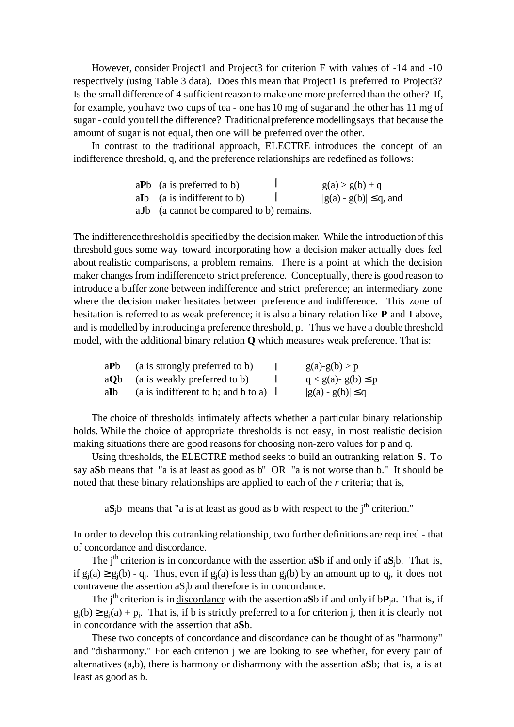However, consider Project1 and Project3 for criterion F with values of -14 and -10 respectively (using Table 3 data). Does this mean that Project1 is preferred to Project3? Is the small difference of 4 sufficient reason to make one more preferred than the other? If, for example, you have two cups of tea - one has 10 mg of sugar and the other has 11 mg of sugar - could you tell the difference? Traditional preference modelling says that because the amount of sugar is not equal, then one will be preferred over the other.

In contrast to the traditional approach, ELECTRE introduces the concept of an indifference threshold, q, and the preference relationships are redefined as follows:

| $aPb$ (a is preferred to b)  |  | $g(a) > g(b) + q$            |
|------------------------------|--|------------------------------|
| ally (a is indifferent to b) |  | $ g(a) - g(b)  \leq q$ , and |
|                              |  |                              |

a**J**b (a cannot be compared to b) remains.

The indifference threshold is specified by the decision maker. While the introduction of this threshold goes some way toward incorporating how a decision maker actually does feel about realistic comparisons, a problem remains. There is a point at which the decision maker changes from indifference to strict preference. Conceptually, there is good reason to introduce a buffer zone between indifference and strict preference; an intermediary zone where the decision maker hesitates between preference and indifference. This zone of hesitation is referred to as weak preference; it is also a binary relation like **P** and **I** above, and is modelled by introducing a preference threshold, p. Thus we have a double threshold model, with the additional binary relation **Q** which measures weak preference. That is:

| aPb  | (a is strongly preferred to b)      | $g(a)-g(b) > p$            |
|------|-------------------------------------|----------------------------|
|      | aQb (a is weakly preferred to b)    | $q < g(a)$ - $g(b) \leq p$ |
| aIb- | (a is indifferent to b; and b to a) | $ g(a) - g(b)  \leq q$     |

The choice of thresholds intimately affects whether a particular binary relationship holds. While the choice of appropriate thresholds is not easy, in most realistic decision making situations there are good reasons for choosing non-zero values for p and q.

Using thresholds, the ELECTRE method seeks to build an outranking relation **S**. To say a**S**b means that "a is at least as good as b" OR "a is not worse than b." It should be noted that these binary relationships are applied to each of the *r* criteria; that is,

 $aS_jb$  means that "a is at least as good as b with respect to the j<sup>th</sup> criterion."

In order to develop this outranking relationship, two further definitions are required - that of concordance and discordance.

The j<sup>th</sup> criterion is in <u>concordance</u> with the assertion a**S**b if and only if  $aS<sub>i</sub>b$ . That is, if  $g_j(a) \ge g_j(b) - q_j$ . Thus, even if  $g_j(a)$  is less than  $g_j(b)$  by an amount up to  $q_j$ , it does not contravene the assertion aSjb and therefore is in concordance.

The  $i<sup>th</sup>$  criterion is in discordance with the assertion a**S**b if and only if  $bP_i$ a. That is, if  $g_j(b) \ge g_j(a) + p_j$ . That is, if b is strictly preferred to a for criterion j, then it is clearly not in concordance with the assertion that a**S**b.

These two concepts of concordance and discordance can be thought of as "harmony" and "disharmony." For each criterion j we are looking to see whether, for every pair of alternatives (a,b), there is harmony or disharmony with the assertion a**S**b; that is, a is at least as good as b.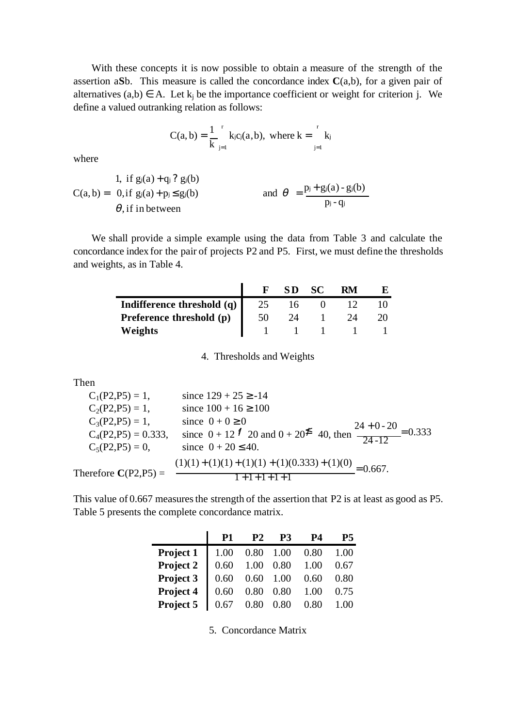With these concepts it is now possible to obtain a measure of the strength of the assertion a**S**b. This measure is called the concordance index  $C(a,b)$ , for a given pair of alternatives  $(a,b) \in A$ . Let  $k_j$  be the importance coefficient or weight for criterion j. We define a valued outranking relation as follows:

$$
C(a,b) = \frac{1}{k} \int_{j=1}^{r} k_j c_j(a,b), \text{ where } k = \int_{j=1}^{r} k_j
$$

where

1, if 
$$
g_j(a) + q_j
$$
?  $g_j(b)$   
\n
$$
C(a, b) = 0, if g_j(a) + p_j \le g_j(b)
$$
\nand 
$$
\theta = \frac{p_j + g_j(a) - g_j(b)}{p_j - q_j}
$$

We shall provide a simple example using the data from Table 3 and calculate the concordance index for the pair of projects P2 and P5. First, we must define the thresholds and weights, as in Table 4.

|                            |    | SD | SC. | RM |  |
|----------------------------|----|----|-----|----|--|
| Indifference threshold (q) |    | I6 |     |    |  |
| Preference threshold (p)   | 50 | 2Δ |     |    |  |
| Weights                    |    |    |     |    |  |

4. Thresholds and Weights

Then

j.

 $C_1(P2, P5) = 1$ , since  $129 + 25 \ge -14$  $C_2(P2, P5) = 1$ , since  $100 + 16 \ge 100$  $C_3(P2, P5) = 1,$  since  $0 + 0 \ge 0$  $C_4(P2,P5) = 0.333$ , since  $0 + 12^{7}$  20 and  $0 + 20^{2}$  40, then  $\frac{24 + 0.20}{24 - 12} = 0.333$  $C_5(P2, P5) = 0$ , since  $0 + 20 \le 40$ . Therefore  $C(P2,P5) =$ 24-12  $\frac{24+0-20}{\frac{1}{2}}$ 0.667.  $1 + 1 + 1 + 1 + 1$  $\frac{(1)(1)+(1)(1)+(1)(1)+(1)(0.333)+(1)(0)}{1}$  $+1$  + 1 + 1 +  $+ (1)(1) + (1)(1) + (1)(0.333) +$ 

This value of 0.667 measures the strength of the assertion that P2 is at least as good as P5. Table 5 presents the complete concordance matrix.

|           |      | <b>P2</b> | P3                                                                        | P4   | Р5   |
|-----------|------|-----------|---------------------------------------------------------------------------|------|------|
| Project 1 | 1.00 |           | $0.80$ $1.00$ $0.80$                                                      |      | 1.00 |
| Project 2 | 0.60 |           | $\begin{array}{ccc} 1.00 & 0.80 & 1.00 \\ 0.60 & 1.00 & 0.60 \end{array}$ |      | 0.67 |
| Project 3 | 0.60 |           |                                                                           |      | 0.80 |
| Project 4 | 0.60 | 0.80      | 0.80 1.00                                                                 |      | 0.75 |
| Project 5 |      | 0.80      | 0.80                                                                      | 0.80 |      |

5. Concordance Matrix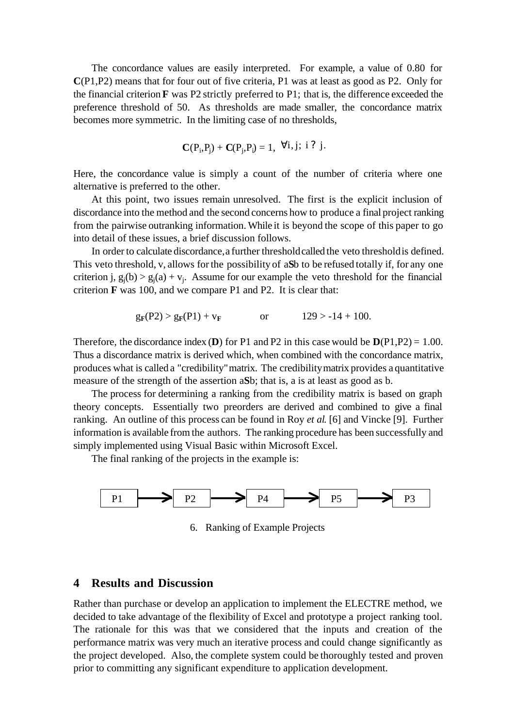The concordance values are easily interpreted. For example, a value of 0.80 for **C**(P1,P2) means that for four out of five criteria, P1 was at least as good as P2. Only for the financial criterion **F** was P2 strictly preferred to P1; that is, the difference exceeded the preference threshold of 50. As thresholds are made smaller, the concordance matrix becomes more symmetric. In the limiting case of no thresholds,

$$
C(P_i, P_j) + C(P_j, P_i) = 1, \ \forall i, j; \ i \ ? \ j.
$$

Here, the concordance value is simply a count of the number of criteria where one alternative is preferred to the other.

At this point, two issues remain unresolved. The first is the explicit inclusion of discordance into the method and the second concerns how to produce a final project ranking from the pairwise outranking information. While it is beyond the scope of this paper to go into detail of these issues, a brief discussion follows.

In order to calculate discordance, a further threshold called the veto threshold is defined. This veto threshold, v, allows for the possibility of a**S**b to be refused totally if, for any one criterion j,  $g_j(b) > g_j(a) + v_j$ . Assume for our example the veto threshold for the financial criterion **F** was 100, and we compare P1 and P2. It is clear that:

$$
g_F(P2) > g_F(P1) + v_F
$$
 or  $129 > -14 + 100$ .

Therefore, the discordance index (**D**) for P1 and P2 in this case would be  $D(P1,P2) = 1.00$ . Thus a discordance matrix is derived which, when combined with the concordance matrix, produces what is called a "credibility" matrix. The credibility matrix provides a quantitative measure of the strength of the assertion a**S**b; that is, a is at least as good as b.

The process for determining a ranking from the credibility matrix is based on graph theory concepts. Essentially two preorders are derived and combined to give a final ranking. An outline of this process can be found in Roy *et al*. [6] and Vincke [9]. Further information is available from the authors. The ranking procedure has been successfully and simply implemented using Visual Basic within Microsoft Excel.

The final ranking of the projects in the example is:



6. Ranking of Example Projects

## **4 Results and Discussion**

Rather than purchase or develop an application to implement the ELECTRE method, we decided to take advantage of the flexibility of Excel and prototype a project ranking tool. The rationale for this was that we considered that the inputs and creation of the performance matrix was very much an iterative process and could change significantly as the project developed. Also, the complete system could be thoroughly tested and proven prior to committing any significant expenditure to application development.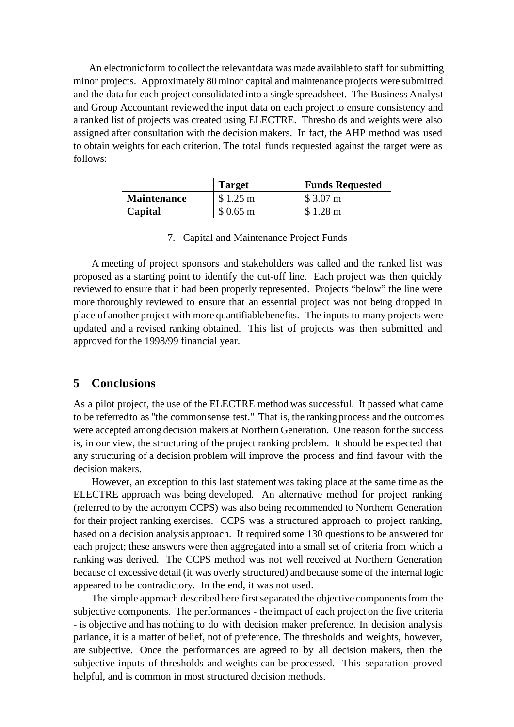An electronic form to collect the relevant data was made available to staff for submitting minor projects. Approximately 80 minor capital and maintenance projects were submitted and the data for each project consolidated into a single spreadsheet. The Business Analyst and Group Accountant reviewed the input data on each project to ensure consistency and a ranked list of projects was created using ELECTRE. Thresholds and weights were also assigned after consultation with the decision makers. In fact, the AHP method was used to obtain weights for each criterion. The total funds requested against the target were as follows:

|                    | <b>Target</b>                      | <b>Funds Requested</b> |
|--------------------|------------------------------------|------------------------|
| <b>Maintenance</b> | $\frac{\text{S}}{\text{S}}$ 1.25 m | \$3.07 m               |
| Capital            | $\frac{\$0.65 \text{ m}}{}$        | \$1.28 m               |

7. Capital and Maintenance Project Funds

A meeting of project sponsors and stakeholders was called and the ranked list was proposed as a starting point to identify the cut-off line. Each project was then quickly reviewed to ensure that it had been properly represented. Projects "below" the line were more thoroughly reviewed to ensure that an essential project was not being dropped in place of another project with more quantifiable benefits. The inputs to many projects were updated and a revised ranking obtained. This list of projects was then submitted and approved for the 1998/99 financial year.

# **5 Conclusions**

As a pilot project, the use of the ELECTRE method was successful. It passed what came to be referred to as "the common sense test." That is, the ranking process and the outcomes were accepted among decision makers at Northern Generation. One reason for the success is, in our view, the structuring of the project ranking problem. It should be expected that any structuring of a decision problem will improve the process and find favour with the decision makers.

However, an exception to this last statement was taking place at the same time as the ELECTRE approach was being developed. An alternative method for project ranking (referred to by the acronym CCPS) was also being recommended to Northern Generation for their project ranking exercises. CCPS was a structured approach to project ranking, based on a decision analysis approach. It required some 130 questions to be answered for each project; these answers were then aggregated into a small set of criteria from which a ranking was derived. The CCPS method was not well received at Northern Generation because of excessive detail (it was overly structured) and because some of the internal logic appeared to be contradictory. In the end, it was not used.

The simple approach described here first separated the objective components from the subjective components. The performances - the impact of each project on the five criteria - is objective and has nothing to do with decision maker preference. In decision analysis parlance, it is a matter of belief, not of preference. The thresholds and weights, however, are subjective. Once the performances are agreed to by all decision makers, then the subjective inputs of thresholds and weights can be processed. This separation proved helpful, and is common in most structured decision methods.